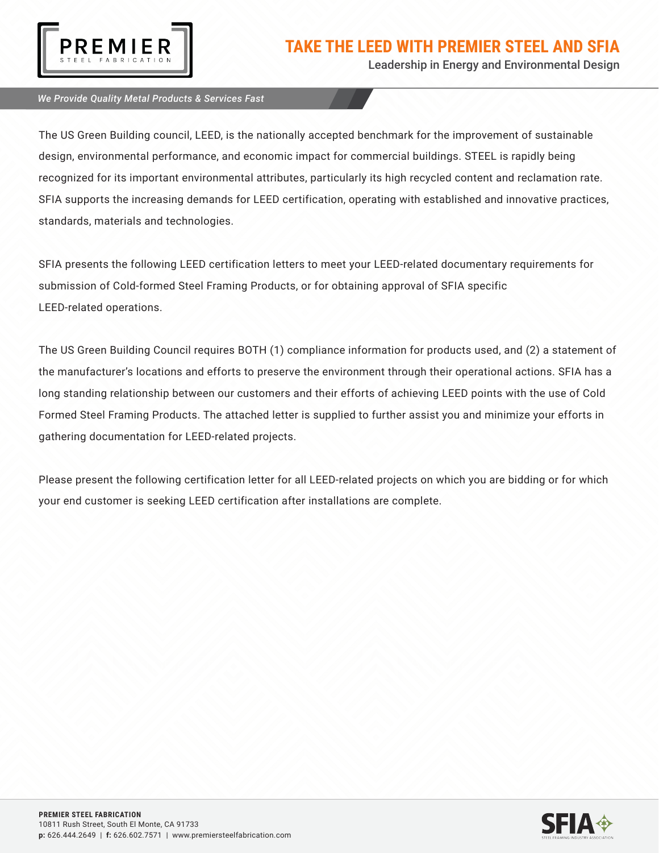

Leadership in Energy and Environmental Design

### *We Provide Quality Metal Products & Services Fast*

The US Green Building council, LEED, is the nationally accepted benchmark for the improvement of sustainable design, environmental performance, and economic impact for commercial buildings. STEEL is rapidly being recognized for its important environmental attributes, particularly its high recycled content and reclamation rate. SFIA supports the increasing demands for LEED certification, operating with established and innovative practices, standards, materials and technologies.

SFIA presents the following LEED certification letters to meet your LEED-related documentary requirements for submission of Cold-formed Steel Framing Products, or for obtaining approval of SFIA specific LEED-related operations.

The US Green Building Council requires BOTH (1) compliance information for products used, and (2) a statement of the manufacturer's locations and efforts to preserve the environment through their operational actions. SFIA has a long standing relationship between our customers and their efforts of achieving LEED points with the use of Cold Formed Steel Framing Products. The attached letter is supplied to further assist you and minimize your efforts in gathering documentation for LEED-related projects.

Please present the following certification letter for all LEED-related projects on which you are bidding or for which your end customer is seeking LEED certification after installations are complete.

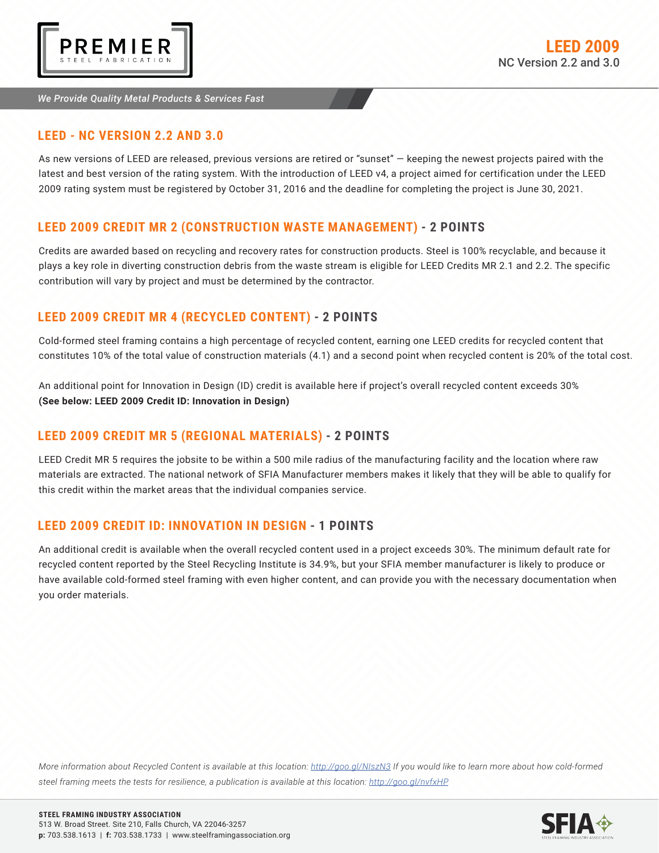

#### *We Provide Quality Metal Products & Services Fast*

## **LEED - NC VERSION 2.2 AND 3.0**

As new versions of LEED are released, previous versions are retired or "sunset" — keeping the newest projects paired with the latest and best version of the rating system. With the introduction of LEED v4, a project aimed for certification under the LEED 2009 rating system must be registered by October 31, 2016 and the deadline for completing the project is June 30, 2021.

## **LEED 2009 CREDIT MR 2 (CONSTRUCTION WASTE MANAGEMENT) - 2 POINTS**

Credits are awarded based on recycling and recovery rates for construction products. Steel is 100% recyclable, and because it plays a key role in diverting construction debris from the waste stream is eligible for LEED Credits MR 2.1 and 2.2. The specific contribution will vary by project and must be determined by the contractor.

# **LEED 2009 CREDIT MR 4 (RECYCLED CONTENT) - 2 POINTS**

Cold-formed steel framing contains a high percentage of recycled content, earning one LEED credits for recycled content that constitutes 10% of the total value of construction materials (4.1) and a second point when recycled content is 20% of the total cost.

An additional point for Innovation in Design (ID) credit is available here if project's overall recycled content exceeds 30% **(See below: LEED 2009 Credit ID: Innovation in Design)**

# **LEED 2009 CREDIT MR 5 (REGIONAL MATERIALS) - 2 POINTS**

LEED Credit MR 5 requires the jobsite to be within a 500 mile radius of the manufacturing facility and the location where raw materials are extracted. The national network of SFIA Manufacturer members makes it likely that they will be able to qualify for this credit within the market areas that the individual companies service.

## **LEED 2009 CREDIT ID: INNOVATION IN DESIGN - 1 POINTS**

An additional credit is available when the overall recycled content used in a project exceeds 30%. The minimum default rate for recycled content reported by the Steel Recycling Institute is 34.9%, but your SFIA member manufacturer is likely to produce or have available cold-formed steel framing with even higher content, and can provide you with the necessary documentation when you order materials.

*More information about Recycled Content is available at this location: http://goo.gl/NIszN3 If you would like to learn more about how cold-formed steel framing meets the tests for resilience, a publication is available at this location: http://goo.gl/nvfxHP*